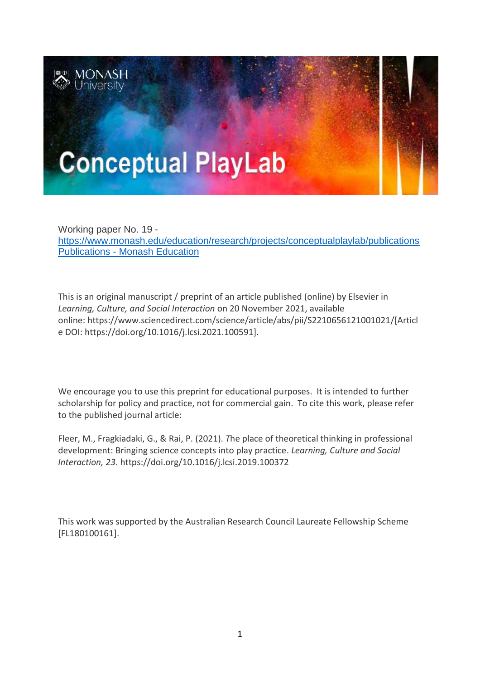

Working paper No. 19 <https://www.monash.edu/education/research/projects/conceptualplaylab/publications> Publications - [Monash Education](https://www.monash.edu/education/research/projects/conceptual-playlab/publications)

This is an original manuscript / preprint of an article published (online) by Elsevier in *Learning, Culture, and Social Interaction* on 20 November 2021, available online: https://www.sciencedirect.com/science/article/abs/pii/S2210656121001021/[Articl e DOI: [https:/](https://doi.org/10.1016/j.lcsi.2019.100372)/doi.org/10.1016/j.lcsi.2021.100591].

We encourage you to use this preprint for educational purposes. It is intended to further scholarship for policy and practice, not for commercial gain. To cite this work, please refer to the published journal article:

Fleer, M., Fragkiadaki, G., & Rai, P. (2021). *T*he place of theoretical thinking in professional development: Bringing science concepts into play practice. *Learning, Culture and Social Interaction, 23*. https://doi.org/10.1016/j.lcsi.2019.100372

This work was supported by the Australian Research Council Laureate Fellowship Scheme [FL180100161].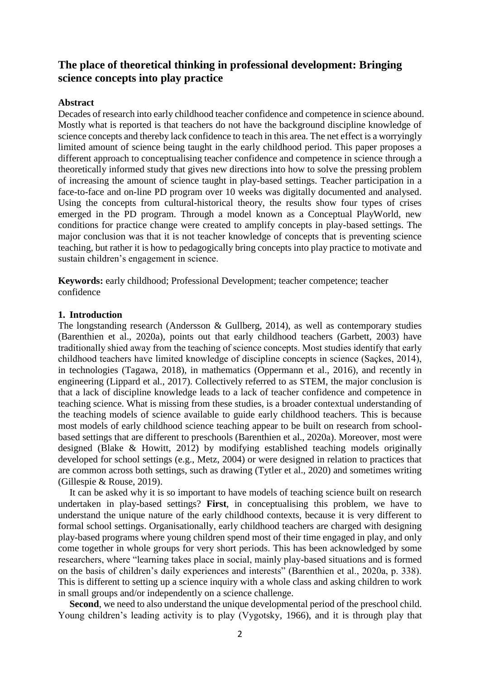# **The place of theoretical thinking in professional development: Bringing science concepts into play practice**

#### **Abstract**

Decades of research into early childhood teacher confidence and competence in science abound. Mostly what is reported is that teachers do not have the background discipline knowledge of science concepts and thereby lack confidence to teach in this area. The net effect is a worryingly limited amount of science being taught in the early childhood period. This paper proposes a different approach to conceptualising teacher confidence and competence in science through a theoretically informed study that gives new directions into how to solve the pressing problem of increasing the amount of science taught in play-based settings. Teacher participation in a face-to-face and on-line PD program over 10 weeks was digitally documented and analysed. Using the concepts from cultural-historical theory, the results show four types of crises emerged in the PD program. Through a model known as a Conceptual PlayWorld, new conditions for practice change were created to amplify concepts in play-based settings. The major conclusion was that it is not teacher knowledge of concepts that is preventing science teaching, but rather it is how to pedagogically bring concepts into play practice to motivate and sustain children's engagement in science.

**Keywords:** early childhood; Professional Development; teacher competence; teacher confidence

#### **1. Introduction**

The longstanding research (Andersson & Gullberg, 2014), as well as contemporary studies (Barenthien et al., 2020a), points out that early childhood teachers (Garbett, 2003) have traditionally shied away from the teaching of science concepts. Most studies identify that early childhood teachers have limited knowledge of discipline concepts in science (Saçkes, 2014), in technologies (Tagawa, 2018), in mathematics (Oppermann et al., 2016), and recently in engineering (Lippard et al., 2017). Collectively referred to as STEM, the major conclusion is that a lack of discipline knowledge leads to a lack of teacher confidence and competence in teaching science. What is missing from these studies, is a broader contextual understanding of the teaching models of science available to guide early childhood teachers. This is because most models of early childhood science teaching appear to be built on research from schoolbased settings that are different to preschools (Barenthien et al., 2020a). Moreover, most were designed (Blake & Howitt, 2012) by modifying established teaching models originally developed for school settings (e.g., Metz, 2004) or were designed in relation to practices that are common across both settings, such as drawing (Tytler et al., 2020) and sometimes writing (Gillespie & Rouse, 2019).

It can be asked why it is so important to have models of teaching science built on research undertaken in play-based settings? **First**, in conceptualising this problem, we have to understand the unique nature of the early childhood contexts, because it is very different to formal school settings. Organisationally, early childhood teachers are charged with designing play-based programs where young children spend most of their time engaged in play, and only come together in whole groups for very short periods. This has been acknowledged by some researchers, where "learning takes place in social, mainly play-based situations and is formed on the basis of children's daily experiences and interests" (Barenthien et al., 2020a, p. 338). This is different to setting up a science inquiry with a whole class and asking children to work in small groups and/or independently on a science challenge.

Second, we need to also understand the unique developmental period of the preschool child. Young children's leading activity is to play (Vygotsky, 1966), and it is through play that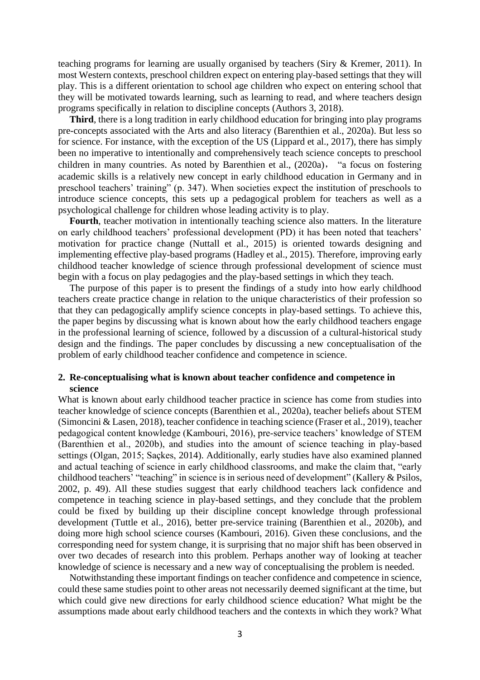teaching programs for learning are usually organised by teachers (Siry & Kremer, 2011). In most Western contexts, preschool children expect on entering play-based settings that they will play. This is a different orientation to school age children who expect on entering school that they will be motivated towards learning, such as learning to read, and where teachers design programs specifically in relation to discipline concepts (Authors 3, 2018).

**Third**, there is a long tradition in early childhood education for bringing into play programs pre-concepts associated with the Arts and also literacy (Barenthien et al., 2020a). But less so for science. For instance, with the exception of the US (Lippard et al., 2017), there has simply been no imperative to intentionally and comprehensively teach science concepts to preschool children in many countries. As noted by Barenthien et al., (2020a), "a focus on fostering academic skills is a relatively new concept in early childhood education in Germany and in preschool teachers' training" (p. 347). When societies expect the institution of preschools to introduce science concepts, this sets up a pedagogical problem for teachers as well as a psychological challenge for children whose leading activity is to play.

**Fourth**, teacher motivation in intentionally teaching science also matters. In the literature on early childhood teachers' professional development (PD) it has been noted that teachers' motivation for practice change (Nuttall et al., 2015) is oriented towards designing and implementing effective play-based programs (Hadley et al., 2015). Therefore, improving early childhood teacher knowledge of science through professional development of science must begin with a focus on play pedagogies and the play-based settings in which they teach.

The purpose of this paper is to present the findings of a study into how early childhood teachers create practice change in relation to the unique characteristics of their profession so that they can pedagogically amplify science concepts in play-based settings. To achieve this, the paper begins by discussing what is known about how the early childhood teachers engage in the professional learning of science, followed by a discussion of a cultural-historical study design and the findings. The paper concludes by discussing a new conceptualisation of the problem of early childhood teacher confidence and competence in science.

#### **2. Re-conceptualising what is known about teacher confidence and competence in science**

What is known about early childhood teacher practice in science has come from studies into teacher knowledge of science concepts (Barenthien et al., 2020a), teacher beliefs about STEM (Simoncini & Lasen, 2018), teacher confidence in teaching science (Fraser et al., 2019), teacher pedagogical content knowledge (Kambouri, 2016), pre-service teachers' knowledge of STEM (Barenthien et al., 2020b), and studies into the amount of science teaching in play-based settings (Olgan, 2015; Saçkes, 2014). Additionally, early studies have also examined planned and actual teaching of science in early childhood classrooms, and make the claim that, "early childhood teachers' "teaching" in science is in serious need of development" (Kallery & Psilos, 2002, p. 49). All these studies suggest that early childhood teachers lack confidence and competence in teaching science in play-based settings, and they conclude that the problem could be fixed by building up their discipline concept knowledge through professional development (Tuttle et al., 2016), better pre-service training (Barenthien et al., 2020b), and doing more high school science courses (Kambouri, 2016). Given these conclusions, and the corresponding need for system change, it is surprising that no major shift has been observed in over two decades of research into this problem. Perhaps another way of looking at teacher knowledge of science is necessary and a new way of conceptualising the problem is needed.

Notwithstanding these important findings on teacher confidence and competence in science, could these same studies point to other areas not necessarily deemed significant at the time, but which could give new directions for early childhood science education? What might be the assumptions made about early childhood teachers and the contexts in which they work? What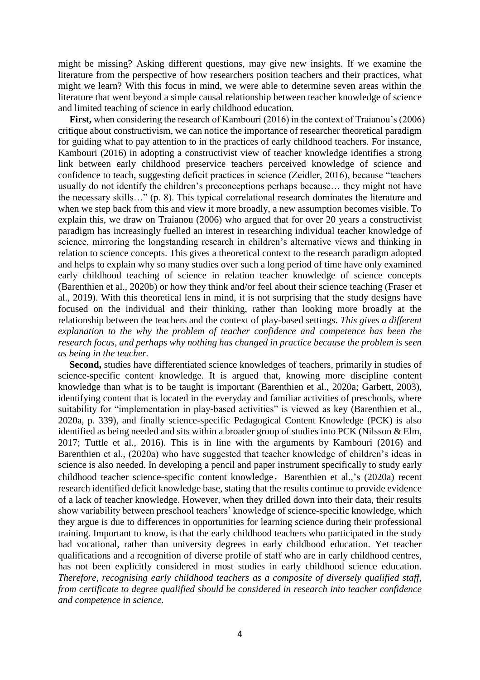might be missing? Asking different questions, may give new insights. If we examine the literature from the perspective of how researchers position teachers and their practices, what might we learn? With this focus in mind, we were able to determine seven areas within the literature that went beyond a simple causal relationship between teacher knowledge of science and limited teaching of science in early childhood education.

**First,** when considering the research of Kambouri (2016) in the context of Traianou's (2006) critique about constructivism, we can notice the importance of researcher theoretical paradigm for guiding what to pay attention to in the practices of early childhood teachers. For instance, Kambouri (2016) in adopting a constructivist view of teacher knowledge identifies a strong link between early childhood preservice teachers perceived knowledge of science and confidence to teach, suggesting deficit practices in science (Zeidler, 2016), because "teachers usually do not identify the children's preconceptions perhaps because… they might not have the necessary skills…" (p. 8). This typical correlational research dominates the literature and when we step back from this and view it more broadly, a new assumption becomes visible. To explain this, we draw on Traianou (2006) who argued that for over 20 years a constructivist paradigm has increasingly fuelled an interest in researching individual teacher knowledge of science, mirroring the longstanding research in children's alternative views and thinking in relation to science concepts. This gives a theoretical context to the research paradigm adopted and helps to explain why so many studies over such a long period of time have only examined early childhood teaching of science in relation teacher knowledge of science concepts (Barenthien et al., 2020b) or how they think and/or feel about their science teaching (Fraser et al., 2019). With this theoretical lens in mind, it is not surprising that the study designs have focused on the individual and their thinking, rather than looking more broadly at the relationship between the teachers and the context of play-based settings. *This gives a different explanation to the why the problem of teacher confidence and competence has been the research focus, and perhaps why nothing has changed in practice because the problem is seen as being in the teacher.*

Second, studies have differentiated science knowledges of teachers, primarily in studies of science-specific content knowledge. It is argued that, knowing more discipline content knowledge than what is to be taught is important (Barenthien et al., 2020a; Garbett, 2003), identifying content that is located in the everyday and familiar activities of preschools, where suitability for "implementation in play-based activities" is viewed as key (Barenthien et al., 2020a, p. 339), and finally science-specific Pedagogical Content Knowledge (PCK) is also identified as being needed and sits within a broader group of studies into PCK (Nilsson & Elm, 2017; Tuttle et al., 2016). This is in line with the arguments by Kambouri (2016) and Barenthien et al., (2020a) who have suggested that teacher knowledge of children's ideas in science is also needed. In developing a pencil and paper instrument specifically to study early childhood teacher science-specific content knowledge, Barenthien et al.,'s (2020a) recent research identified deficit knowledge base, stating that the results continue to provide evidence of a lack of teacher knowledge. However, when they drilled down into their data, their results show variability between preschool teachers' knowledge of science-specific knowledge, which they argue is due to differences in opportunities for learning science during their professional training. Important to know, is that the early childhood teachers who participated in the study had vocational, rather than university degrees in early childhood education. Yet teacher qualifications and a recognition of diverse profile of staff who are in early childhood centres, has not been explicitly considered in most studies in early childhood science education. *Therefore, recognising early childhood teachers as a composite of diversely qualified staff, from certificate to degree qualified should be considered in research into teacher confidence and competence in science.*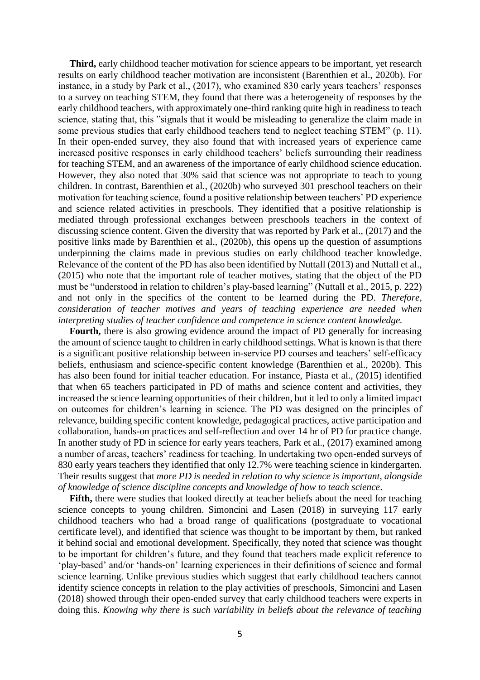**Third,** early childhood teacher motivation for science appears to be important, yet research results on early childhood teacher motivation are inconsistent (Barenthien et al., 2020b). For instance, in a study by Park et al., (2017), who examined 830 early years teachers' responses to a survey on teaching STEM, they found that there was a heterogeneity of responses by the early childhood teachers, with approximately one-third ranking quite high in readiness to teach science, stating that, this "signals that it would be misleading to generalize the claim made in some previous studies that early childhood teachers tend to neglect teaching STEM" (p. 11). In their open-ended survey, they also found that with increased years of experience came increased positive responses in early childhood teachers' beliefs surrounding their readiness for teaching STEM, and an awareness of the importance of early childhood science education. However, they also noted that 30% said that science was not appropriate to teach to young children. In contrast, Barenthien et al., (2020b) who surveyed 301 preschool teachers on their motivation for teaching science, found a positive relationship between teachers' PD experience and science related activities in preschools. They identified that a positive relationship is mediated through professional exchanges between preschools teachers in the context of discussing science content. Given the diversity that was reported by Park et al., (2017) and the positive links made by Barenthien et al., (2020b), this opens up the question of assumptions underpinning the claims made in previous studies on early childhood teacher knowledge. Relevance of the content of the PD has also been identified by Nuttall (2013) and Nuttall et al., (2015) who note that the important role of teacher motives, stating that the object of the PD must be "understood in relation to children's play-based learning" (Nuttall et al., 2015, p. 222) and not only in the specifics of the content to be learned during the PD. *Therefore, consideration of teacher motives and years of teaching experience are needed when interpreting studies of teacher confidence and competence in science content knowledge.*

**Fourth,** there is also growing evidence around the impact of PD generally for increasing the amount of science taught to children in early childhood settings. What is known is that there is a significant positive relationship between in-service PD courses and teachers' self-efficacy beliefs, enthusiasm and science-specific content knowledge (Barenthien et al., 2020b). This has also been found for initial teacher education. For instance, Piasta et al., (2015) identified that when 65 teachers participated in PD of maths and science content and activities, they increased the science learning opportunities of their children, but it led to only a limited impact on outcomes for children's learning in science. The PD was designed on the principles of relevance, building specific content knowledge, pedagogical practices, active participation and collaboration, hands-on practices and self-reflection and over 14 hr of PD for practice change. In another study of PD in science for early years teachers, Park et al., (2017) examined among a number of areas, teachers' readiness for teaching. In undertaking two open-ended surveys of 830 early years teachers they identified that only 12.7% were teaching science in kindergarten. Their results suggest that *more PD is needed in relation to why science is important, alongside of knowledge of science discipline concepts and knowledge of how to teach science*.

Fifth, there were studies that looked directly at teacher beliefs about the need for teaching science concepts to young children. Simoncini and Lasen (2018) in surveying 117 early childhood teachers who had a broad range of qualifications (postgraduate to vocational certificate level), and identified that science was thought to be important by them, but ranked it behind social and emotional development. Specifically, they noted that science was thought to be important for children's future, and they found that teachers made explicit reference to 'play-based' and/or 'hands-on' learning experiences in their definitions of science and formal science learning. Unlike previous studies which suggest that early childhood teachers cannot identify science concepts in relation to the play activities of preschools, Simoncini and Lasen (2018) showed through their open-ended survey that early childhood teachers were experts in doing this. *Knowing why there is such variability in beliefs about the relevance of teaching*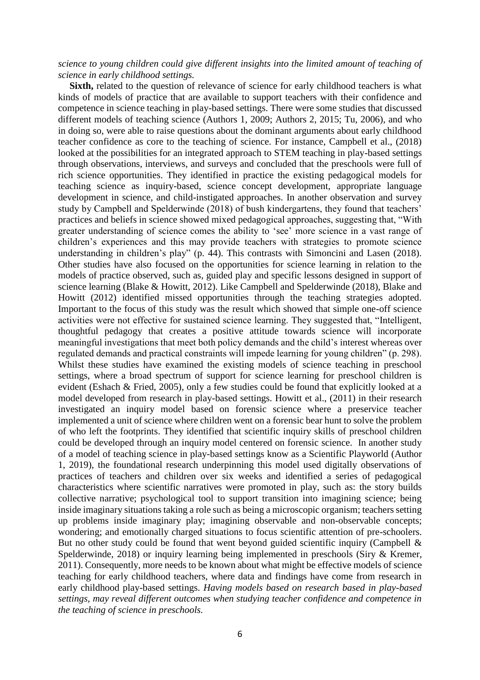## *science to young children could give different insights into the limited amount of teaching of science in early childhood settings.*

**Sixth,** related to the question of relevance of science for early childhood teachers is what kinds of models of practice that are available to support teachers with their confidence and competence in science teaching in play-based settings. There were some studies that discussed different models of teaching science (Authors 1, 2009; Authors 2, 2015; Tu, 2006), and who in doing so, were able to raise questions about the dominant arguments about early childhood teacher confidence as core to the teaching of science. For instance, Campbell et al., (2018) looked at the possibilities for an integrated approach to STEM teaching in play-based settings through observations, interviews, and surveys and concluded that the preschools were full of rich science opportunities. They identified in practice the existing pedagogical models for teaching science as inquiry-based, science concept development, appropriate language development in science, and child-instigated approaches. In another observation and survey study by Campbell and Spelderwinde (2018) of bush kindergartens, they found that teachers' practices and beliefs in science showed mixed pedagogical approaches, suggesting that, "With greater understanding of science comes the ability to 'see' more science in a vast range of children's experiences and this may provide teachers with strategies to promote science understanding in children's play" (p. 44). This contrasts with Simoncini and Lasen (2018). Other studies have also focused on the opportunities for science learning in relation to the models of practice observed, such as, guided play and specific lessons designed in support of science learning (Blake & Howitt, 2012). Like Campbell and Spelderwinde (2018), Blake and Howitt (2012) identified missed opportunities through the teaching strategies adopted. Important to the focus of this study was the result which showed that simple one-off science activities were not effective for sustained science learning. They suggested that, "Intelligent, thoughtful pedagogy that creates a positive attitude towards science will incorporate meaningful investigations that meet both policy demands and the child's interest whereas over regulated demands and practical constraints will impede learning for young children" (p. 298). Whilst these studies have examined the existing models of science teaching in preschool settings, where a broad spectrum of support for science learning for preschool children is evident (Eshach & Fried, 2005), only a few studies could be found that explicitly looked at a model developed from research in play-based settings. Howitt et al., (2011) in their research investigated an inquiry model based on forensic science where a preservice teacher implemented a unit of science where children went on a forensic bear hunt to solve the problem of who left the footprints. They identified that scientific inquiry skills of preschool children could be developed through an inquiry model centered on forensic science. In another study of a model of teaching science in play-based settings know as a Scientific Playworld (Author 1, 2019), the foundational research underpinning this model used digitally observations of practices of teachers and children over six weeks and identified a series of pedagogical characteristics where scientific narratives were promoted in play, such as: the story builds collective narrative; psychological tool to support transition into imagining science; being inside imaginary situations taking a role such as being a microscopic organism; teachers setting up problems inside imaginary play; imagining observable and non-observable concepts; wondering; and emotionally charged situations to focus scientific attention of pre-schoolers. But no other study could be found that went beyond guided scientific inquiry (Campbell & Spelderwinde, 2018) or inquiry learning being implemented in preschools (Siry & Kremer, 2011). Consequently, more needs to be known about what might be effective models of science teaching for early childhood teachers, where data and findings have come from research in early childhood play-based settings. *Having models based on research based in play-based settings, may reveal different outcomes when studying teacher confidence and competence in the teaching of science in preschools.*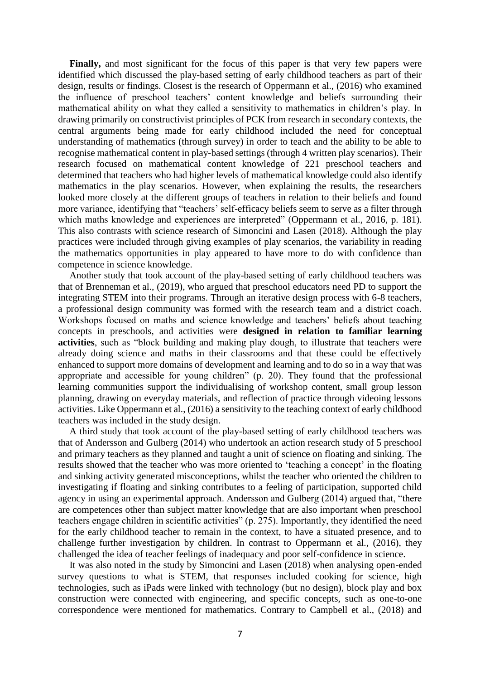Finally, and most significant for the focus of this paper is that very few papers were identified which discussed the play-based setting of early childhood teachers as part of their design, results or findings. Closest is the research of Oppermann et al., (2016) who examined the influence of preschool teachers' content knowledge and beliefs surrounding their mathematical ability on what they called a sensitivity to mathematics in children's play. In drawing primarily on constructivist principles of PCK from research in secondary contexts, the central arguments being made for early childhood included the need for conceptual understanding of mathematics (through survey) in order to teach and the ability to be able to recognise mathematical content in play-based settings (through 4 written play scenarios). Their research focused on mathematical content knowledge of 221 preschool teachers and determined that teachers who had higher levels of mathematical knowledge could also identify mathematics in the play scenarios. However, when explaining the results, the researchers looked more closely at the different groups of teachers in relation to their beliefs and found more variance, identifying that "teachers' self-efficacy beliefs seem to serve as a filter through which maths knowledge and experiences are interpreted" (Oppermann et al., 2016, p. 181). This also contrasts with science research of Simoncini and Lasen (2018). Although the play practices were included through giving examples of play scenarios, the variability in reading the mathematics opportunities in play appeared to have more to do with confidence than competence in science knowledge.

Another study that took account of the play-based setting of early childhood teachers was that of Brenneman et al., (2019), who argued that preschool educators need PD to support the integrating STEM into their programs. Through an iterative design process with 6-8 teachers, a professional design community was formed with the research team and a district coach. Workshops focused on maths and science knowledge and teachers' beliefs about teaching concepts in preschools, and activities were **designed in relation to familiar learning activities**, such as "block building and making play dough, to illustrate that teachers were already doing science and maths in their classrooms and that these could be effectively enhanced to support more domains of development and learning and to do so in a way that was appropriate and accessible for young children" (p. 20). They found that the professional learning communities support the individualising of workshop content, small group lesson planning, drawing on everyday materials, and reflection of practice through videoing lessons activities. Like Oppermann et al., (2016) a sensitivity to the teaching context of early childhood teachers was included in the study design.

A third study that took account of the play-based setting of early childhood teachers was that of Andersson and Gulberg (2014) who undertook an action research study of 5 preschool and primary teachers as they planned and taught a unit of science on floating and sinking. The results showed that the teacher who was more oriented to 'teaching a concept' in the floating and sinking activity generated misconceptions, whilst the teacher who oriented the children to investigating if floating and sinking contributes to a feeling of participation, supported child agency in using an experimental approach. Andersson and Gulberg (2014) argued that, "there are competences other than subject matter knowledge that are also important when preschool teachers engage children in scientific activities" (p. 275). Importantly, they identified the need for the early childhood teacher to remain in the context, to have a situated presence, and to challenge further investigation by children. In contrast to Oppermann et al., (2016), they challenged the idea of teacher feelings of inadequacy and poor self-confidence in science.

It was also noted in the study by Simoncini and Lasen (2018) when analysing open-ended survey questions to what is STEM, that responses included cooking for science, high technologies, such as iPads were linked with technology (but no design), block play and box construction were connected with engineering, and specific concepts, such as one-to-one correspondence were mentioned for mathematics. Contrary to Campbell et al., (2018) and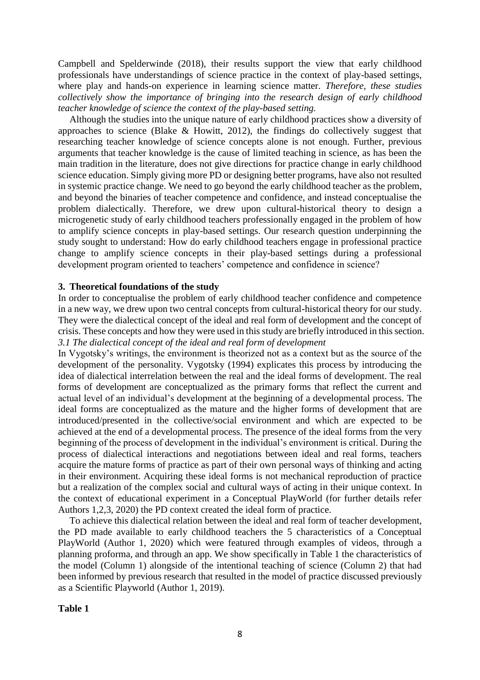Campbell and Spelderwinde (2018), their results support the view that early childhood professionals have understandings of science practice in the context of play-based settings, where play and hands-on experience in learning science matter. *Therefore, these studies collectively show the importance of bringing into the research design of early childhood teacher knowledge of science the context of the play-based setting.*

Although the studies into the unique nature of early childhood practices show a diversity of approaches to science (Blake & Howitt, 2012), the findings do collectively suggest that researching teacher knowledge of science concepts alone is not enough. Further, previous arguments that teacher knowledge is the cause of limited teaching in science, as has been the main tradition in the literature, does not give directions for practice change in early childhood science education. Simply giving more PD or designing better programs, have also not resulted in systemic practice change. We need to go beyond the early childhood teacher as the problem, and beyond the binaries of teacher competence and confidence, and instead conceptualise the problem dialectically. Therefore, we drew upon cultural-historical theory to design a microgenetic study of early childhood teachers professionally engaged in the problem of how to amplify science concepts in play-based settings. Our research question underpinning the study sought to understand: How do early childhood teachers engage in professional practice change to amplify science concepts in their play-based settings during a professional development program oriented to teachers' competence and confidence in science?

## **3. Theoretical foundations of the study**

In order to conceptualise the problem of early childhood teacher confidence and competence in a new way, we drew upon two central concepts from cultural-historical theory for our study. They were the dialectical concept of the ideal and real form of development and the concept of crisis. These concepts and how they were used in this study are briefly introduced in this section. *3.1 The dialectical concept of the ideal and real form of development*

In Vygotsky's writings, the environment is theorized not as a context but as the source of the development of the personality. Vygotsky (1994) explicates this process by introducing the idea of dialectical interrelation between the real and the ideal forms of development. The real forms of development are conceptualized as the primary forms that reflect the current and actual level of an individual's development at the beginning of a developmental process. The ideal forms are conceptualized as the mature and the higher forms of development that are introduced/presented in the collective/social environment and which are expected to be achieved at the end of a developmental process. The presence of the ideal forms from the very beginning of the process of development in the individual's environment is critical. During the process of dialectical interactions and negotiations between ideal and real forms, teachers acquire the mature forms of practice as part of their own personal ways of thinking and acting in their environment. Acquiring these ideal forms is not mechanical reproduction of practice but a realization of the complex social and cultural ways of acting in their unique context. In the context of educational experiment in a Conceptual PlayWorld (for further details refer Authors 1,2,3, 2020) the PD context created the ideal form of practice.

To achieve this dialectical relation between the ideal and real form of teacher development, the PD made available to early childhood teachers the 5 characteristics of a Conceptual PlayWorld (Author 1, 2020) which were featured through examples of videos, through a planning proforma, and through an app. We show specifically in Table 1 the characteristics of the model (Column 1) alongside of the intentional teaching of science (Column 2) that had been informed by previous research that resulted in the model of practice discussed previously as a Scientific Playworld (Author 1, 2019).

## **Table 1**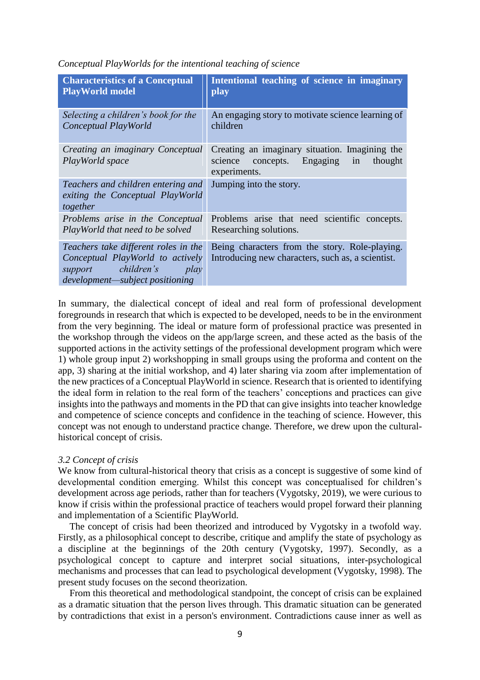| <b>Characteristics of a Conceptual</b>                                                                                                    | Intentional teaching of science in imaginary                                                                        |
|-------------------------------------------------------------------------------------------------------------------------------------------|---------------------------------------------------------------------------------------------------------------------|
| <b>PlayWorld model</b>                                                                                                                    | play                                                                                                                |
| Selecting a children's book for the                                                                                                       | An engaging story to motivate science learning of                                                                   |
| Conceptual PlayWorld                                                                                                                      | children                                                                                                            |
| Creating an imaginary Conceptual<br>PlayWorld space                                                                                       | Creating an imaginary situation. Imagining the<br>Engaging<br>in<br>science<br>concepts.<br>thought<br>experiments. |
| Teachers and children entering and<br>exiting the Conceptual PlayWorld<br>together                                                        | Jumping into the story.                                                                                             |
| Problems arise in the Conceptual                                                                                                          | Problems arise that need scientific concepts.                                                                       |
| PlayWorld that need to be solved                                                                                                          | Researching solutions.                                                                                              |
| Teachers take different roles in the<br>Conceptual PlayWorld to actively<br>support children's<br>play<br>development—subject positioning | Being characters from the story. Role-playing.<br>Introducing new characters, such as, a scientist.                 |

*Conceptual PlayWorlds for the intentional teaching of science*

In summary, the dialectical concept of ideal and real form of professional development foregrounds in research that which is expected to be developed, needs to be in the environment from the very beginning. The ideal or mature form of professional practice was presented in the workshop through the videos on the app/large screen, and these acted as the basis of the supported actions in the activity settings of the professional development program which were 1) whole group input 2) workshopping in small groups using the proforma and content on the app, 3) sharing at the initial workshop, and 4) later sharing via zoom after implementation of the new practices of a Conceptual PlayWorld in science. Research that is oriented to identifying the ideal form in relation to the real form of the teachers' conceptions and practices can give insights into the pathways and moments in the PD that can give insights into teacher knowledge and competence of science concepts and confidence in the teaching of science. However, this concept was not enough to understand practice change. Therefore, we drew upon the culturalhistorical concept of crisis.

## *3.2 Concept of crisis*

We know from cultural-historical theory that crisis as a concept is suggestive of some kind of developmental condition emerging. Whilst this concept was conceptualised for children's development across age periods, rather than for teachers (Vygotsky, 2019), we were curious to know if crisis within the professional practice of teachers would propel forward their planning and implementation of a Scientific PlayWorld.

The concept of crisis had been theorized and introduced by Vygotsky in a twofold way. Firstly, as a philosophical concept to describe, critique and amplify the state of psychology as a discipline at the beginnings of the 20th century (Vygotsky, 1997). Secondly, as a psychological concept to capture and interpret social situations, inter-psychological mechanisms and processes that can lead to psychological development (Vygotsky, 1998). The present study focuses on the second theorization.

From this theoretical and methodological standpoint, the concept of crisis can be explained as a dramatic situation that the person lives through. This dramatic situation can be generated by contradictions that exist in a person's environment. Contradictions cause inner as well as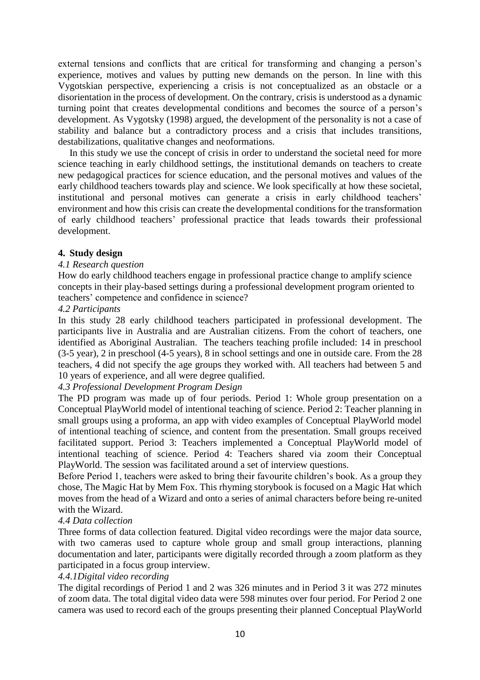external tensions and conflicts that are critical for transforming and changing a person's experience, motives and values by putting new demands on the person. In line with this Vygotskian perspective, experiencing a crisis is not conceptualized as an obstacle or a disorientation in the process of development. On the contrary, crisis is understood as a dynamic turning point that creates developmental conditions and becomes the source of a person's development. As Vygotsky (1998) argued, the development of the personality is not a case of stability and balance but a contradictory process and a crisis that includes transitions, destabilizations, qualitative changes and neoformations.

In this study we use the concept of crisis in order to understand the societal need for more science teaching in early childhood settings, the institutional demands on teachers to create new pedagogical practices for science education, and the personal motives and values of the early childhood teachers towards play and science. We look specifically at how these societal, institutional and personal motives can generate a crisis in early childhood teachers' environment and how this crisis can create the developmental conditions for the transformation of early childhood teachers' professional practice that leads towards their professional development.

## **4. Study design**

## *4.1 Research question*

How do early childhood teachers engage in professional practice change to amplify science concepts in their play-based settings during a professional development program oriented to teachers' competence and confidence in science?

## *4.2 Participants*

In this study 28 early childhood teachers participated in professional development. The participants live in Australia and are Australian citizens. From the cohort of teachers, one identified as Aboriginal Australian. The teachers teaching profile included: 14 in preschool (3-5 year), 2 in preschool (4-5 years), 8 in school settings and one in outside care. From the 28 teachers, 4 did not specify the age groups they worked with. All teachers had between 5 and 10 years of experience, and all were degree qualified.

## *4.3 Professional Development Program Design*

The PD program was made up of four periods. Period 1: Whole group presentation on a Conceptual PlayWorld model of intentional teaching of science. Period 2: Teacher planning in small groups using a proforma, an app with video examples of Conceptual PlayWorld model of intentional teaching of science, and content from the presentation. Small groups received facilitated support. Period 3: Teachers implemented a Conceptual PlayWorld model of intentional teaching of science. Period 4: Teachers shared via zoom their Conceptual PlayWorld. The session was facilitated around a set of interview questions.

Before Period 1, teachers were asked to bring their favourite children's book. As a group they chose, The Magic Hat by Mem Fox. This rhyming storybook is focused on a Magic Hat which moves from the head of a Wizard and onto a series of animal characters before being re-united with the Wizard.

## *4.4 Data collection*

Three forms of data collection featured. Digital video recordings were the major data source, with two cameras used to capture whole group and small group interactions, planning documentation and later, participants were digitally recorded through a zoom platform as they participated in a focus group interview.

## *4.4.1Digital video recording*

The digital recordings of Period 1 and 2 was 326 minutes and in Period 3 it was 272 minutes of zoom data. The total digital video data were 598 minutes over four period. For Period 2 one camera was used to record each of the groups presenting their planned Conceptual PlayWorld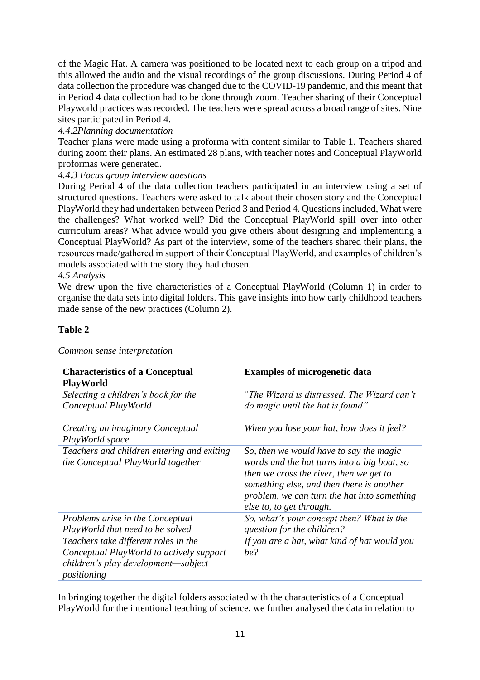of the Magic Hat. A camera was positioned to be located next to each group on a tripod and this allowed the audio and the visual recordings of the group discussions. During Period 4 of data collection the procedure was changed due to the COVID-19 pandemic, and this meant that in Period 4 data collection had to be done through zoom. Teacher sharing of their Conceptual Playworld practices was recorded. The teachers were spread across a broad range of sites. Nine sites participated in Period 4.

# *4.4.2Planning documentation*

Teacher plans were made using a proforma with content similar to Table 1. Teachers shared during zoom their plans. An estimated 28 plans, with teacher notes and Conceptual PlayWorld proformas were generated.

# *4.4.3 Focus group interview questions*

During Period 4 of the data collection teachers participated in an interview using a set of structured questions. Teachers were asked to talk about their chosen story and the Conceptual PlayWorld they had undertaken between Period 3 and Period 4. Questions included, What were the challenges? What worked well? Did the Conceptual PlayWorld spill over into other curriculum areas? What advice would you give others about designing and implementing a Conceptual PlayWorld? As part of the interview, some of the teachers shared their plans, the resources made/gathered in support of their Conceptual PlayWorld, and examples of children's models associated with the story they had chosen.

## *4.5 Analysis*

We drew upon the five characteristics of a Conceptual PlayWorld (Column 1) in order to organise the data sets into digital folders. This gave insights into how early childhood teachers made sense of the new practices (Column 2).

## **Table 2**

| <b>Characteristics of a Conceptual</b><br>PlayWorld         | <b>Examples of microgenetic data</b>                                            |
|-------------------------------------------------------------|---------------------------------------------------------------------------------|
| Selecting a children's book for the<br>Conceptual PlayWorld | "The Wizard is distressed. The Wizard can't<br>do magic until the hat is found" |
|                                                             |                                                                                 |
| Creating an imaginary Conceptual                            | When you lose your hat, how does it feel?                                       |
| PlayWorld space                                             |                                                                                 |
| Teachers and children entering and exiting                  | So, then we would have to say the magic                                         |
| the Conceptual PlayWorld together                           | words and the hat turns into a big boat, so                                     |
|                                                             | then we cross the river, then we get to                                         |
|                                                             | something else, and then there is another                                       |
|                                                             | problem, we can turn the hat into something                                     |
|                                                             | else to, to get through.                                                        |
| Problems arise in the Conceptual                            | So, what's your concept then? What is the                                       |
| PlayWorld that need to be solved                            | question for the children?                                                      |
| Teachers take different roles in the                        | If you are a hat, what kind of hat would you                                    |
| Conceptual PlayWorld to actively support                    | be?                                                                             |
| children's play development—subject                         |                                                                                 |
| positioning                                                 |                                                                                 |

*Common sense interpretation*

In bringing together the digital folders associated with the characteristics of a Conceptual PlayWorld for the intentional teaching of science, we further analysed the data in relation to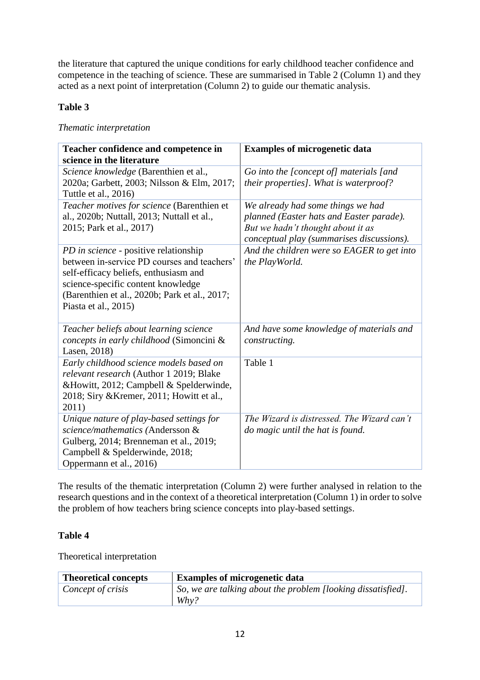the literature that captured the unique conditions for early childhood teacher confidence and competence in the teaching of science. These are summarised in Table 2 (Column 1) and they acted as a next point of interpretation (Column 2) to guide our thematic analysis.

# **Table 3**

## *Thematic interpretation*

| Teacher confidence and competence in          | <b>Examples of microgenetic data</b>       |
|-----------------------------------------------|--------------------------------------------|
| science in the literature                     |                                            |
| Science knowledge (Barenthien et al.,         | Go into the [concept of] materials [and    |
| 2020a; Garbett, 2003; Nilsson & Elm, 2017;    | their properties]. What is waterproof?     |
| Tuttle et al., 2016)                          |                                            |
| Teacher motives for science (Barenthien et    | We already had some things we had          |
| al., 2020b; Nuttall, 2013; Nuttall et al.,    | planned (Easter hats and Easter parade).   |
| 2015; Park et al., 2017)                      | But we hadn't thought about it as          |
|                                               | conceptual play (summarises discussions).  |
| PD in science - positive relationship         | And the children were so EAGER to get into |
| between in-service PD courses and teachers'   | the PlayWorld.                             |
| self-efficacy beliefs, enthusiasm and         |                                            |
| science-specific content knowledge            |                                            |
| (Barenthien et al., 2020b; Park et al., 2017; |                                            |
| Piasta et al., 2015)                          |                                            |
|                                               |                                            |
| Teacher beliefs about learning science        | And have some knowledge of materials and   |
| concepts in early childhood (Simoncini &      | constructing.                              |
| Lasen, 2018)                                  |                                            |
| Early childhood science models based on       | Table 1                                    |
| relevant research (Author 1 2019; Blake       |                                            |
| &Howitt, 2012; Campbell & Spelderwinde,       |                                            |
| 2018; Siry & Kremer, 2011; Howitt et al.,     |                                            |
| 2011)                                         |                                            |
| Unique nature of play-based settings for      | The Wizard is distressed. The Wizard can't |
| science/mathematics (Andersson &              | do magic until the hat is found.           |
| Gulberg, 2014; Brenneman et al., 2019;        |                                            |
| Campbell & Spelderwinde, 2018;                |                                            |
| Oppermann et al., 2016)                       |                                            |

The results of the thematic interpretation (Column 2) were further analysed in relation to the research questions and in the context of a theoretical interpretation (Column 1) in order to solve the problem of how teachers bring science concepts into play-based settings.

# **Table 4**

Theoretical interpretation

| <b>Theoretical concepts</b> | <b>Examples of microgenetic data</b>                                    |
|-----------------------------|-------------------------------------------------------------------------|
| Concept of crisis           | So, we are talking about the problem [looking dissatisfied].<br>$Why$ ? |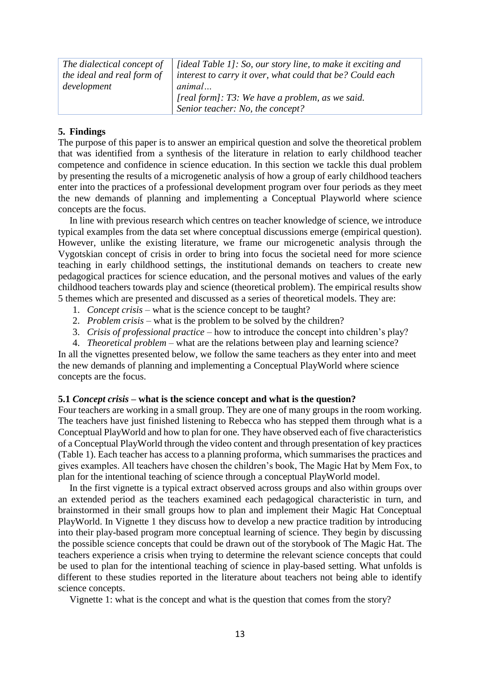| The dialectical concept of | <i>[ideal Table 1]: So, our story line, to make it exciting and</i> |
|----------------------------|---------------------------------------------------------------------|
| the ideal and real form of | interest to carry it over, what could that be? Could each           |
| development                | animal                                                              |
|                            | [real form]: T3: We have a problem, as we said.                     |
|                            | Senior teacher: No, the concept?                                    |

#### **5. Findings**

The purpose of this paper is to answer an empirical question and solve the theoretical problem that was identified from a synthesis of the literature in relation to early childhood teacher competence and confidence in science education. In this section we tackle this dual problem by presenting the results of a microgenetic analysis of how a group of early childhood teachers enter into the practices of a professional development program over four periods as they meet the new demands of planning and implementing a Conceptual Playworld where science concepts are the focus.

In line with previous research which centres on teacher knowledge of science, we introduce typical examples from the data set where conceptual discussions emerge (empirical question). However, unlike the existing literature, we frame our microgenetic analysis through the Vygotskian concept of crisis in order to bring into focus the societal need for more science teaching in early childhood settings, the institutional demands on teachers to create new pedagogical practices for science education, and the personal motives and values of the early childhood teachers towards play and science (theoretical problem). The empirical results show 5 themes which are presented and discussed as a series of theoretical models. They are:

- 1. *Concept crisis* what is the science concept to be taught?
- 2. *Problem crisis* what is the problem to be solved by the children?
- 3. *Crisis of professional practice* how to introduce the concept into children's play?
- 4. *Theoretical problem* what are the relations between play and learning science?

In all the vignettes presented below, we follow the same teachers as they enter into and meet the new demands of planning and implementing a Conceptual PlayWorld where science concepts are the focus.

#### **5.1** *Concept crisis* **– what is the science concept and what is the question?**

Four teachers are working in a small group. They are one of many groups in the room working. The teachers have just finished listening to Rebecca who has stepped them through what is a Conceptual PlayWorld and how to plan for one. They have observed each of five characteristics of a Conceptual PlayWorld through the video content and through presentation of key practices (Table 1). Each teacher has access to a planning proforma, which summarises the practices and gives examples. All teachers have chosen the children's book, The Magic Hat by Mem Fox, to plan for the intentional teaching of science through a conceptual PlayWorld model.

In the first vignette is a typical extract observed across groups and also within groups over an extended period as the teachers examined each pedagogical characteristic in turn, and brainstormed in their small groups how to plan and implement their Magic Hat Conceptual PlayWorld. In Vignette 1 they discuss how to develop a new practice tradition by introducing into their play-based program more conceptual learning of science. They begin by discussing the possible science concepts that could be drawn out of the storybook of The Magic Hat. The teachers experience a crisis when trying to determine the relevant science concepts that could be used to plan for the intentional teaching of science in play-based setting. What unfolds is different to these studies reported in the literature about teachers not being able to identify science concepts.

Vignette 1: what is the concept and what is the question that comes from the story?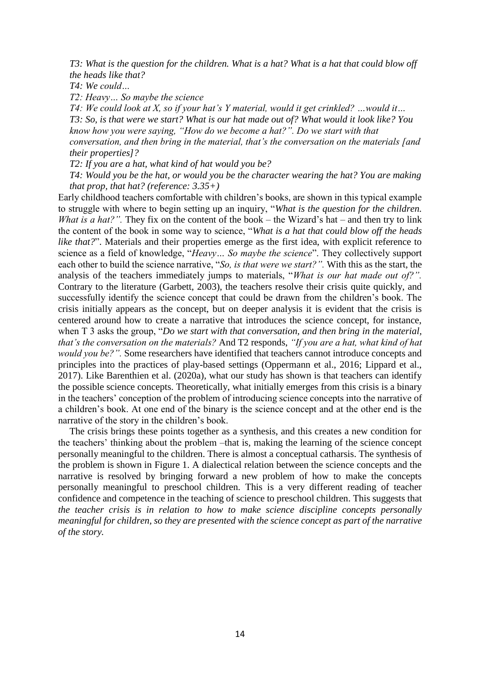*T3: What is the question for the children. What is a hat? What is a hat that could blow off the heads like that?*

*T4: We could…*

*T2: Heavy… So maybe the science*

*T4: We could look at X, so if your hat's Y material, would it get crinkled? …would it… T3: So, is that were we start? What is our hat made out of? What would it look like? You know how you were saying, "How do we become a hat?". Do we start with that conversation, and then bring in the material, that's the conversation on the materials [and their properties]?*

*T2: If you are a hat, what kind of hat would you be?*

*T4: Would you be the hat, or would you be the character wearing the hat? You are making that prop, that hat? (reference: 3.35+)*

Early childhood teachers comfortable with children's books, are shown in this typical example to struggle with where to begin setting up an inquiry, "*What is the question for the children. What is a hat?"*. They fix on the content of the book – the Wizard's hat – and then try to link the content of the book in some way to science, "*What is a hat that could blow off the heads like that?"*. Materials and their properties emerge as the first idea, with explicit reference to science as a field of knowledge, "*Heavy… So maybe the science*". They collectively support each other to build the science narrative, "*So, is that were we start?".* With this as the start, the analysis of the teachers immediately jumps to materials, "*What is our hat made out of?".* Contrary to the literature (Garbett, 2003), the teachers resolve their crisis quite quickly, and successfully identify the science concept that could be drawn from the children's book. The crisis initially appears as the concept, but on deeper analysis it is evident that the crisis is centered around how to create a narrative that introduces the science concept, for instance, when T 3 asks the group, "*Do we start with that conversation, and then bring in the material, that's the conversation on the materials?* And T2 responds, *"If you are a hat, what kind of hat would you be?".* Some researchers have identified that teachers cannot introduce concepts and principles into the practices of play-based settings (Oppermann et al., 2016; Lippard et al., 2017). Like Barenthien et al. (2020a), what our study has shown is that teachers can identify the possible science concepts. Theoretically, what initially emerges from this crisis is a binary in the teachers' conception of the problem of introducing science concepts into the narrative of a children's book. At one end of the binary is the science concept and at the other end is the narrative of the story in the children's book.

The crisis brings these points together as a synthesis, and this creates a new condition for the teachers' thinking about the problem –that is, making the learning of the science concept personally meaningful to the children. There is almost a conceptual catharsis. The synthesis of the problem is shown in Figure 1. A dialectical relation between the science concepts and the narrative is resolved by bringing forward a new problem of how to make the concepts personally meaningful to preschool children. This is a very different reading of teacher confidence and competence in the teaching of science to preschool children. This suggests that *the teacher crisis is in relation to how to make science discipline concepts personally meaningful for children, so they are presented with the science concept as part of the narrative of the story.*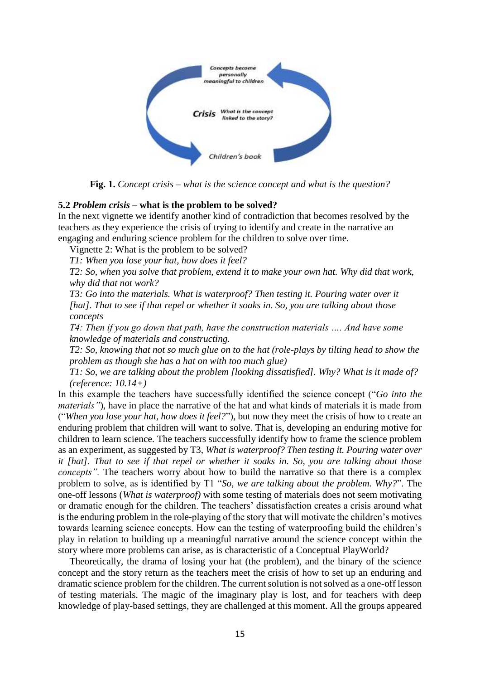

**Fig. 1.** *Concept crisis – what is the science concept and what is the question?*

#### **5.2** *Problem crisis* **– what is the problem to be solved?**

In the next vignette we identify another kind of contradiction that becomes resolved by the teachers as they experience the crisis of trying to identify and create in the narrative an engaging and enduring science problem for the children to solve over time.

Vignette 2: What is the problem to be solved?

*T1: When you lose your hat, how does it feel?*

*T2: So, when you solve that problem, extend it to make your own hat. Why did that work, why did that not work?* 

*T3: Go into the materials. What is waterproof? Then testing it. Pouring water over it [hat]. That to see if that repel or whether it soaks in. So, you are talking about those concepts*

*T4: Then if you go down that path, have the construction materials …. And have some knowledge of materials and constructing.*

*T2: So, knowing that not so much glue on to the hat (role-plays by tilting head to show the problem as though she has a hat on with too much glue)*

*T1: So, we are talking about the problem [looking dissatisfied]. Why? What is it made of? (reference: 10.14+)*

In this example the teachers have successfully identified the science concept ("*Go into the materials"*), have in place the narrative of the hat and what kinds of materials it is made from ("*When you lose your hat, how does it feel?*"), but now they meet the crisis of how to create an enduring problem that children will want to solve. That is, developing an enduring motive for children to learn science. The teachers successfully identify how to frame the science problem as an experiment, as suggested by T3, *What is waterproof? Then testing it. Pouring water over it [hat]. That to see if that repel or whether it soaks in. So, you are talking about those concepts*". The teachers worry about how to build the narrative so that there is a complex problem to solve, as is identified by T1 "*So, we are talking about the problem. Why?*". The one-off lessons (*What is waterproof)* with some testing of materials does not seem motivating or dramatic enough for the children. The teachers' dissatisfaction creates a crisis around what is the enduring problem in the role-playing of the story that will motivate the children's motives towards learning science concepts. How can the testing of waterproofing build the children's play in relation to building up a meaningful narrative around the science concept within the story where more problems can arise, as is characteristic of a Conceptual PlayWorld?

Theoretically, the drama of losing your hat (the problem), and the binary of the science concept and the story return as the teachers meet the crisis of how to set up an enduring and dramatic science problem for the children. The current solution is not solved as a one-off lesson of testing materials. The magic of the imaginary play is lost, and for teachers with deep knowledge of play-based settings, they are challenged at this moment. All the groups appeared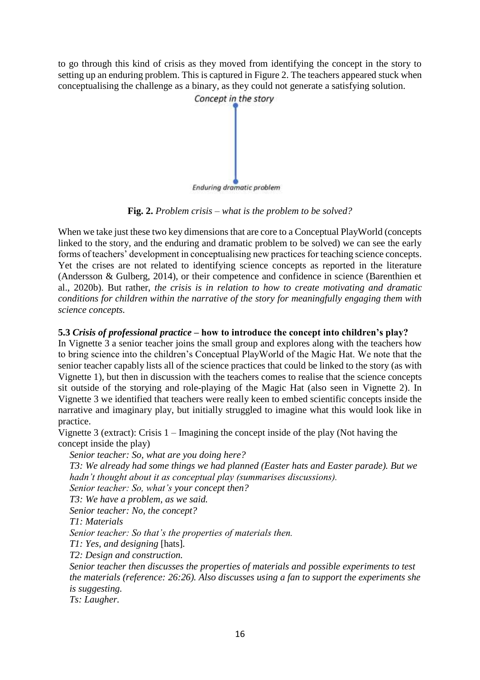to go through this kind of crisis as they moved from identifying the concept in the story to setting up an enduring problem. This is captured in Figure 2. The teachers appeared stuck when conceptualising the challenge as a binary, as they could not generate a satisfying solution.



**Fig. 2.** *Problem crisis – what is the problem to be solved?*

When we take just these two key dimensions that are core to a Conceptual PlayWorld (concepts linked to the story, and the enduring and dramatic problem to be solved) we can see the early forms of teachers' development in conceptualising new practices for teaching science concepts. Yet the crises are not related to identifying science concepts as reported in the literature (Andersson & Gulberg, 2014), or their competence and confidence in science (Barenthien et al., 2020b). But rather, *the crisis is in relation to how to create motivating and dramatic conditions for children within the narrative of the story for meaningfully engaging them with science concepts.*

# **5.3** *Crisis of professional practice* **– how to introduce the concept into children's play?**

In Vignette 3 a senior teacher joins the small group and explores along with the teachers how to bring science into the children's Conceptual PlayWorld of the Magic Hat. We note that the senior teacher capably lists all of the science practices that could be linked to the story (as with Vignette 1), but then in discussion with the teachers comes to realise that the science concepts sit outside of the storying and role-playing of the Magic Hat (also seen in Vignette 2). In Vignette 3 we identified that teachers were really keen to embed scientific concepts inside the narrative and imaginary play, but initially struggled to imagine what this would look like in practice.

Vignette 3 (extract): Crisis 1 – Imagining the concept inside of the play (Not having the concept inside the play)

*Senior teacher: So, what are you doing here?*

*T3: We already had some things we had planned (Easter hats and Easter parade). But we hadn't thought about it as conceptual play (summarises discussions).* 

*Senior teacher: So, what's your concept then?*

*T3: We have a problem, as we said.* 

*Senior teacher: No, the concept?* 

*T1: Materials*

*Senior teacher: So that's the properties of materials then.*

*T1: Yes, and designing* [hats]*.*

*T2: Design and construction.*

*Senior teacher then discusses the properties of materials and possible experiments to test the materials (reference: 26:26). Also discusses using a fan to support the experiments she is suggesting.*

*Ts: Laugher.*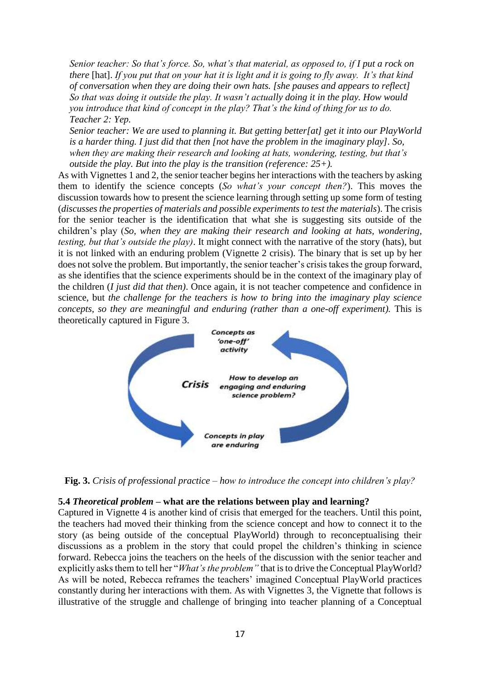*Senior teacher: So that's force. So, what's that material, as opposed to, if I put a rock on there* [hat]. *If you put that on your hat it is light and it is going to fly away. It's that kind of conversation when they are doing their own hats. [she pauses and appears to reflect] So that was doing it outside the play. It wasn't actually doing it in the play. How would you introduce that kind of concept in the play? That's the kind of thing for us to do. Teacher 2: Yep.*

*Senior teacher: We are used to planning it. But getting better[at] get it into our PlayWorld is a harder thing. I just did that then [not have the problem in the imaginary play]. So, when they are making their research and looking at hats, wondering, testing, but that's outside the play. But into the play is the transition (reference: 25+).*

As with Vignettes 1 and 2, the senior teacher begins her interactions with the teachers by asking them to identify the science concepts (*So what's your concept then?*). This moves the discussion towards how to present the science learning through setting up some form of testing (*discusses the properties of materials and possible experiments to test the materials*). The crisis for the senior teacher is the identification that what she is suggesting sits outside of the children's play (*So, when they are making their research and looking at hats, wondering, testing, but that's outside the play)*. It might connect with the narrative of the story (hats), but it is not linked with an enduring problem (Vignette 2 crisis). The binary that is set up by her does not solve the problem. But importantly, the senior teacher's crisis takes the group forward, as she identifies that the science experiments should be in the context of the imaginary play of the children (*I just did that then)*. Once again, it is not teacher competence and confidence in science, but *the challenge for the teachers is how to bring into the imaginary play science concepts, so they are meaningful and enduring (rather than a one-off experiment). This is* theoretically captured in Figure 3.



**Fig. 3.** *Crisis of professional practice – how to introduce the concept into children's play?*

## **5.4** *Theoretical problem* **– what are the relations between play and learning?**

Captured in Vignette 4 is another kind of crisis that emerged for the teachers. Until this point, the teachers had moved their thinking from the science concept and how to connect it to the story (as being outside of the conceptual PlayWorld) through to reconceptualising their discussions as a problem in the story that could propel the children's thinking in science forward. Rebecca joins the teachers on the heels of the discussion with the senior teacher and explicitly asks them to tell her "*What's the problem"* that is to drive the Conceptual PlayWorld? As will be noted, Rebecca reframes the teachers' imagined Conceptual PlayWorld practices constantly during her interactions with them. As with Vignettes 3, the Vignette that follows is illustrative of the struggle and challenge of bringing into teacher planning of a Conceptual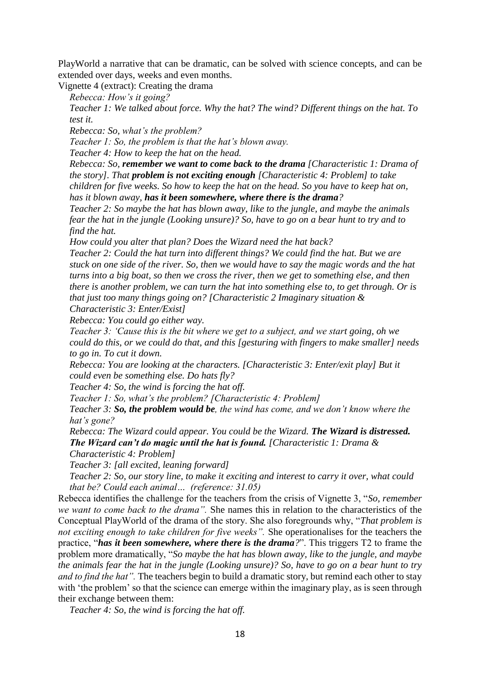PlayWorld a narrative that can be dramatic, can be solved with science concepts, and can be extended over days, weeks and even months.

Vignette 4 (extract): Creating the drama

*Rebecca: How's it going?*

*Teacher 1: We talked about force. Why the hat? The wind? Different things on the hat. To test it.*

*Rebecca: So, what's the problem?*

*Teacher 1: So, the problem is that the hat's blown away.* 

*Teacher 4: How to keep the hat on the head.*

*Rebecca: So, remember we want to come back to the drama [Characteristic 1: Drama of the story]. That problem is not exciting enough [Characteristic 4: Problem] to take children for five weeks. So how to keep the hat on the head. So you have to keep hat on, has it blown away, has it been somewhere, where there is the drama?*

*Teacher 2: So maybe the hat has blown away, like to the jungle, and maybe the animals fear the hat in the jungle (Looking unsure)? So, have to go on a bear hunt to try and to find the hat.*

*How could you alter that plan? Does the Wizard need the hat back?* 

*Teacher 2: Could the hat turn into different things? We could find the hat. But we are stuck on one side of the river. So, then we would have to say the magic words and the hat turns into a big boat, so then we cross the river, then we get to something else, and then there is another problem, we can turn the hat into something else to, to get through. Or is that just too many things going on? [Characteristic 2 Imaginary situation & Characteristic 3: Enter/Exist]*

*Rebecca: You could go either way.*

*Teacher 3: 'Cause this is the bit where we get to a subject, and we start going, oh we could do this, or we could do that, and this [gesturing with fingers to make smaller] needs to go in. To cut it down.*

*Rebecca: You are looking at the characters. [Characteristic 3: Enter/exit play] But it could even be something else. Do hats fly?*

*Teacher 4: So, the wind is forcing the hat off.* 

*Teacher 1: So, what's the problem? [Characteristic 4: Problem]*

*Teacher 3: So, the problem would be, the wind has come, and we don't know where the hat's gone?*

*Rebecca: The Wizard could appear. You could be the Wizard. The Wizard is distressed. The Wizard can't do magic until the hat is found. [Characteristic 1: Drama &* 

*Characteristic 4: Problem]*

*Teacher 3: [all excited, leaning forward]* 

*Teacher 2: So, our story line, to make it exciting and interest to carry it over, what could that be? Could each animal… (reference: 31.05)*

Rebecca identifies the challenge for the teachers from the crisis of Vignette 3, "*So, remember we want to come back to the drama".* She names this in relation to the characteristics of the Conceptual PlayWorld of the drama of the story. She also foregrounds why, "*That problem is not exciting enough to take children for five weeks".* She operationalises for the teachers the practice, "*has it been somewhere, where there is the drama?*". This triggers T2 to frame the problem more dramatically, "*So maybe the hat has blown away, like to the jungle, and maybe the animals fear the hat in the jungle (Looking unsure)? So, have to go on a bear hunt to try and to find the hat".* The teachers begin to build a dramatic story, but remind each other to stay with 'the problem' so that the science can emerge within the imaginary play, as is seen through their exchange between them:

*Teacher 4: So, the wind is forcing the hat off.*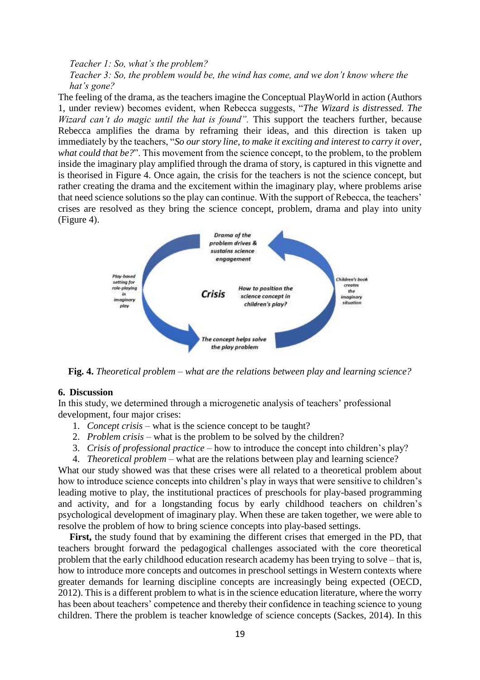*Teacher 1: So, what's the problem? Teacher 3: So, the problem would be, the wind has come, and we don't know where the hat's gone?*

The feeling of the drama, as the teachers imagine the Conceptual PlayWorld in action (Authors 1, under review) becomes evident, when Rebecca suggests, "*The Wizard is distressed. The Wizard can't do magic until the hat is found".* This support the teachers further, because Rebecca amplifies the drama by reframing their ideas, and this direction is taken up immediately by the teachers, "*So our story line, to make it exciting and interest to carry it over, what could that be?*". This movement from the science concept, to the problem, to the problem inside the imaginary play amplified through the drama of story, is captured in this vignette and is theorised in Figure 4. Once again, the crisis for the teachers is not the science concept, but rather creating the drama and the excitement within the imaginary play, where problems arise that need science solutions so the play can continue. With the support of Rebecca, the teachers' crises are resolved as they bring the science concept, problem, drama and play into unity (Figure 4).



**Fig. 4.** *Theoretical problem – what are the relations between play and learning science?*

#### **6. Discussion**

In this study, we determined through a microgenetic analysis of teachers' professional development, four major crises:

- 1. *Concept crisis* what is the science concept to be taught?
- 2. *Problem crisis* what is the problem to be solved by the children?
- 3. *Crisis of professional practice* how to introduce the concept into children's play?
- 4. *Theoretical problem* what are the relations between play and learning science?

What our study showed was that these crises were all related to a theoretical problem about how to introduce science concepts into children's play in ways that were sensitive to children's leading motive to play, the institutional practices of preschools for play-based programming and activity, and for a longstanding focus by early childhood teachers on children's psychological development of imaginary play. When these are taken together, we were able to resolve the problem of how to bring science concepts into play-based settings.

**First,** the study found that by examining the different crises that emerged in the PD, that teachers brought forward the pedagogical challenges associated with the core theoretical problem that the early childhood education research academy has been trying to solve – that is, how to introduce more concepts and outcomes in preschool settings in Western contexts where greater demands for learning discipline concepts are increasingly being expected (OECD, 2012). This is a different problem to what is in the science education literature, where the worry has been about teachers' competence and thereby their confidence in teaching science to young children. There the problem is teacher knowledge of science concepts (Sackes, 2014). In this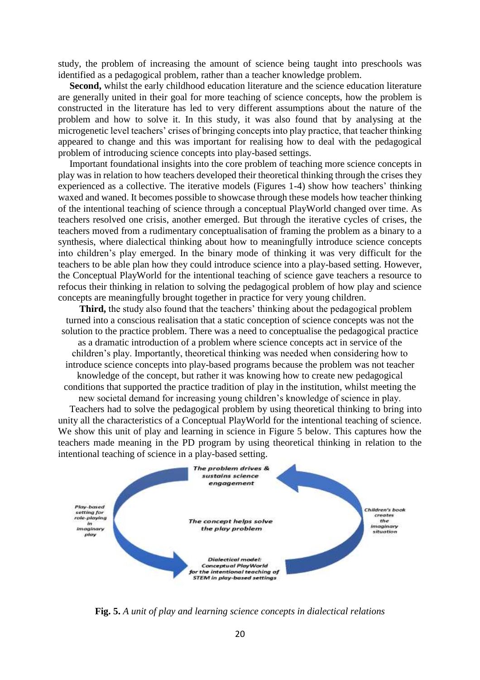study, the problem of increasing the amount of science being taught into preschools was identified as a pedagogical problem, rather than a teacher knowledge problem.

Second, whilst the early childhood education literature and the science education literature are generally united in their goal for more teaching of science concepts, how the problem is constructed in the literature has led to very different assumptions about the nature of the problem and how to solve it. In this study, it was also found that by analysing at the microgenetic level teachers' crises of bringing concepts into play practice, that teacher thinking appeared to change and this was important for realising how to deal with the pedagogical problem of introducing science concepts into play-based settings.

Important foundational insights into the core problem of teaching more science concepts in play was in relation to how teachers developed their theoretical thinking through the crises they experienced as a collective. The iterative models (Figures 1-4) show how teachers' thinking waxed and waned. It becomes possible to showcase through these models how teacher thinking of the intentional teaching of science through a conceptual PlayWorld changed over time. As teachers resolved one crisis, another emerged. But through the iterative cycles of crises, the teachers moved from a rudimentary conceptualisation of framing the problem as a binary to a synthesis, where dialectical thinking about how to meaningfully introduce science concepts into children's play emerged. In the binary mode of thinking it was very difficult for the teachers to be able plan how they could introduce science into a play-based setting. However, the Conceptual PlayWorld for the intentional teaching of science gave teachers a resource to refocus their thinking in relation to solving the pedagogical problem of how play and science concepts are meaningfully brought together in practice for very young children.

**Third,** the study also found that the teachers' thinking about the pedagogical problem turned into a conscious realisation that a static conception of science concepts was not the solution to the practice problem. There was a need to conceptualise the pedagogical practice

as a dramatic introduction of a problem where science concepts act in service of the children's play. Importantly, theoretical thinking was needed when considering how to introduce science concepts into play-based programs because the problem was not teacher knowledge of the concept, but rather it was knowing how to create new pedagogical conditions that supported the practice tradition of play in the institution, whilst meeting the

new societal demand for increasing young children's knowledge of science in play. Teachers had to solve the pedagogical problem by using theoretical thinking to bring into unity all the characteristics of a Conceptual PlayWorld for the intentional teaching of science. We show this unit of play and learning in science in Figure 5 below. This captures how the teachers made meaning in the PD program by using theoretical thinking in relation to the intentional teaching of science in a play-based setting.



**Fig. 5.** *A unit of play and learning science concepts in dialectical relations*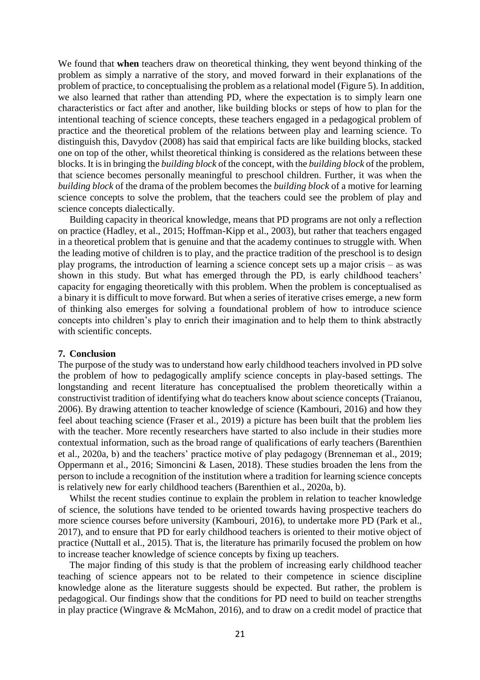We found that **when** teachers draw on theoretical thinking, they went beyond thinking of the problem as simply a narrative of the story, and moved forward in their explanations of the problem of practice, to conceptualising the problem as a relational model (Figure 5). In addition, we also learned that rather than attending PD, where the expectation is to simply learn one characteristics or fact after and another, like building blocks or steps of how to plan for the intentional teaching of science concepts, these teachers engaged in a pedagogical problem of practice and the theoretical problem of the relations between play and learning science. To distinguish this, Davydov (2008) has said that empirical facts are like building blocks, stacked one on top of the other, whilst theoretical thinking is considered as the relations between these blocks. It is in bringing the *building block* of the concept, with the *building block* of the problem, that science becomes personally meaningful to preschool children. Further, it was when the *building block* of the drama of the problem becomes the *building block* of a motive for learning science concepts to solve the problem, that the teachers could see the problem of play and science concepts dialectically.

Building capacity in theorical knowledge, means that PD programs are not only a reflection on practice (Hadley, et al., 2015; Hoffman-Kipp et al., 2003), but rather that teachers engaged in a theoretical problem that is genuine and that the academy continues to struggle with. When the leading motive of children is to play, and the practice tradition of the preschool is to design play programs, the introduction of learning a science concept sets up a major crisis – as was shown in this study. But what has emerged through the PD, is early childhood teachers' capacity for engaging theoretically with this problem. When the problem is conceptualised as a binary it is difficult to move forward. But when a series of iterative crises emerge, a new form of thinking also emerges for solving a foundational problem of how to introduce science concepts into children's play to enrich their imagination and to help them to think abstractly with scientific concepts.

#### **7. Conclusion**

The purpose of the study was to understand how early childhood teachers involved in PD solve the problem of how to pedagogically amplify science concepts in play-based settings. The longstanding and recent literature has conceptualised the problem theoretically within a constructivist tradition of identifying what do teachers know about science concepts (Traianou, 2006). By drawing attention to teacher knowledge of science (Kambouri, 2016) and how they feel about teaching science (Fraser et al., 2019) a picture has been built that the problem lies with the teacher. More recently researchers have started to also include in their studies more contextual information, such as the broad range of qualifications of early teachers (Barenthien et al., 2020a, b) and the teachers' practice motive of play pedagogy (Brenneman et al., 2019; Oppermann et al., 2016; Simoncini & Lasen, 2018). These studies broaden the lens from the person to include a recognition of the institution where a tradition for learning science concepts is relatively new for early childhood teachers (Barenthien et al., 2020a, b).

Whilst the recent studies continue to explain the problem in relation to teacher knowledge of science, the solutions have tended to be oriented towards having prospective teachers do more science courses before university (Kambouri, 2016), to undertake more PD (Park et al., 2017), and to ensure that PD for early childhood teachers is oriented to their motive object of practice (Nuttall et al., 2015). That is, the literature has primarily focused the problem on how to increase teacher knowledge of science concepts by fixing up teachers.

The major finding of this study is that the problem of increasing early childhood teacher teaching of science appears not to be related to their competence in science discipline knowledge alone as the literature suggests should be expected. But rather, the problem is pedagogical. Our findings show that the conditions for PD need to build on teacher strengths in play practice (Wingrave & McMahon, 2016), and to draw on a credit model of practice that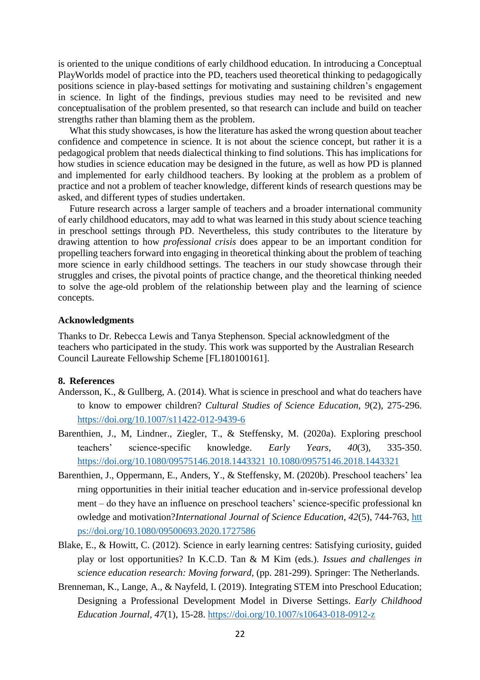is oriented to the unique conditions of early childhood education. In introducing a Conceptual PlayWorlds model of practice into the PD, teachers used theoretical thinking to pedagogically positions science in play-based settings for motivating and sustaining children's engagement in science. In light of the findings, previous studies may need to be revisited and new conceptualisation of the problem presented, so that research can include and build on teacher strengths rather than blaming them as the problem.

What this study showcases, is how the literature has asked the wrong question about teacher confidence and competence in science. It is not about the science concept, but rather it is a pedagogical problem that needs dialectical thinking to find solutions. This has implications for how studies in science education may be designed in the future, as well as how PD is planned and implemented for early childhood teachers. By looking at the problem as a problem of practice and not a problem of teacher knowledge, different kinds of research questions may be asked, and different types of studies undertaken.

Future research across a larger sample of teachers and a broader international community of early childhood educators, may add to what was learned in this study about science teaching in preschool settings through PD. Nevertheless, this study contributes to the literature by drawing attention to how *professional crisis* does appear to be an important condition for propelling teachers forward into engaging in theoretical thinking about the problem of teaching more science in early childhood settings. The teachers in our study showcase through their struggles and crises, the pivotal points of practice change, and the theoretical thinking needed to solve the age-old problem of the relationship between play and the learning of science concepts.

#### **Acknowledgments**

Thanks to Dr. Rebecca Lewis and Tanya Stephenson. Special acknowledgment of the teachers who participated in the study. This work was supported by the Australian Research Council Laureate Fellowship Scheme [FL180100161].

#### **8. References**

- Andersson, K., & Gullberg, A. (2014). What is science in preschool and what do teachers have to know to empower children? *Cultural Studies of Science Education, 9*(2), 275-296. <https://doi.org/10.1007/s11422-012-9439-6>
- Barenthien, J., M, Lindner., Ziegler, T., & Steffensky, M. (2020a). Exploring preschool teachers' science-specific knowledge. *Early Years*, *40*(3), 335-350. [https://doi.org/10.1080/09575146.2018.1443321 10.1080/09575146.2018.1443321](https://doi.org/10.1080/09575146.2018.1443321)
- Barenthien, J., Oppermann, E., Anders, Y., & Steffensky, M. (2020b). Preschool teachers' lea rning opportunities in their initial teacher education and in-service professional develop ment – do they have an influence on preschool teachers' science-specific professional kn owledge and motivation?*International Journal of Science Education*, *42*(5), 744-763, [htt](https://doi.org/10.1080/09500693.2020.1727586) [ps://doi.org/10.1080/09500693.2020.1727586](https://doi.org/10.1080/09500693.2020.1727586)
- Blake, E., & Howitt, C. (2012). Science in early learning centres: Satisfying curiosity, guided play or lost opportunities? In K.C.D. Tan & M Kim (eds.). *Issues and challenges in science education research: Moving forward*, (pp. 281-299). Springer: The Netherlands.
- Brenneman, K., Lange, A., & Nayfeld, I. (2019). Integrating STEM into Preschool Education; Designing a Professional Development Model in Diverse Settings. *Early Childhood Education Journal, 47*(1), 15-28.<https://doi.org/10.1007/s10643-018-0912-z>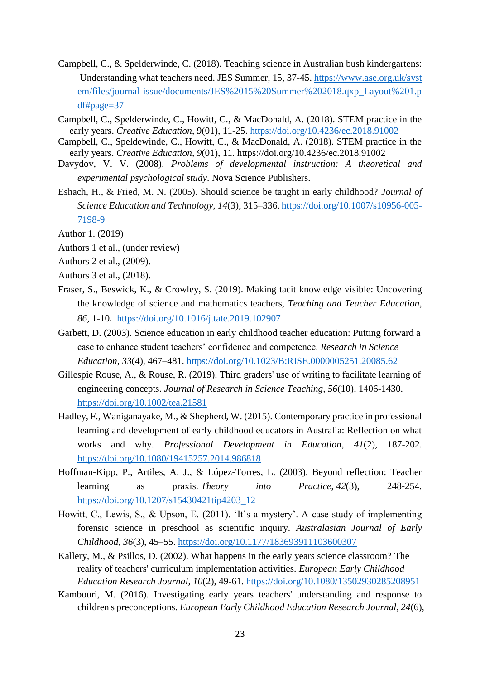- Campbell, C., & Spelderwinde, C. (2018). Teaching science in Australian bush kindergartens: Understanding what teachers need. JES Summer, 15, 37-45. [https://www.ase.org.uk/syst](https://www.ase.org.uk/system/files/journal-issue/documents/JES%2015%20Summer%202018.qxp_Layout%201.pdf%23page=37) [em/files/journal-issue/documents/JES%2015%20Summer%202018.qxp\\_Layout%201.p](https://www.ase.org.uk/system/files/journal-issue/documents/JES%2015%20Summer%202018.qxp_Layout%201.pdf%23page=37) [df#page=37](https://www.ase.org.uk/system/files/journal-issue/documents/JES%2015%20Summer%202018.qxp_Layout%201.pdf%23page=37)
- Campbell, C., Spelderwinde, C., Howitt, C., & MacDonald, A. (2018). STEM practice in the early years. *Creative Education*, 9(01), 11-25.<https://doi.org/10.4236/ec.2018.91002>
- Campbell, C., Speldewinde, C., Howitt, C., & MacDonald, A. (2018). STEM practice in the early years. *Creative Education, 9*(01), 11.<https://doi.org/10.4236/ec.2018.91002>
- Davydov, V. V. (2008). *Problems of developmental instruction: A theoretical and experimental psychological study*. Nova Science Publishers.
- Eshach, H., & Fried, M. N. (2005). Should science be taught in early childhood? *Journal of Science Education and Technology*, *14*(3), 315–336. [https://doi.org/10.1007/s10956-005-](https://doi.org/10.1007/s10956-005-7198-9) [7198-9](https://doi.org/10.1007/s10956-005-7198-9)
- Author 1. (2019)
- Authors 1 et al., (under review)
- Authors 2 et al., (2009).
- Authors 3 et al., (2018).
- Fraser, S., Beswick, K., & Crowley, S. (2019). Making tacit knowledge visible: Uncovering the knowledge of science and mathematics teachers, *Teaching and Teacher Education, 86*, 1-10. <https://doi.org/10.1016/j.tate.2019.102907>
- Garbett, D. (2003). Science education in early childhood teacher education: Putting forward a case to enhance student teachers' confidence and competence. *Research in Science Education*, *33*(4), 467–481.<https://doi.org/10.1023/B:RISE.0000005251.20085.62>
- Gillespie Rouse, A., & Rouse, R. (2019). Third graders' use of writing to facilitate learning of engineering concepts. *Journal of Research in Science Teaching, 56*(10), 1406-1430. <https://doi.org/10.1002/tea.21581>
- Hadley, F., Waniganayake, M., & Shepherd, W. (2015). Contemporary practice in professional learning and development of early childhood educators in Australia: Reflection on what works and why. *Professional Development in Education*, *41*(2), 187-202. <https://doi.org/10.1080/19415257.2014.986818>
- Hoffman-Kipp, P., Artiles, A. J., & López-Torres, L. (2003). Beyond reflection: Teacher learning as praxis. *Theory into Practice*, *42*(3), 248-254. [https://doi.org/10.1207/s15430421tip4203\\_12](https://doi.org/10.1207/s15430421tip4203_12)
- Howitt, C., Lewis, S., & Upson, E. (2011). 'It's a mystery'. A case study of implementing forensic science in preschool as scientific inquiry. *Australasian Journal of Early Childhood*, *36*(3), 45–55.<https://doi.org/10.1177/183693911103600307>
- Kallery, M., & Psillos, D. (2002). What happens in the early years science classroom? The reality of teachers' curriculum implementation activities. *European Early Childhood Education Research Journal, 10*(2), 49-61. <https://doi.org/10.1080/13502930285208951>
- Kambouri, M. (2016). Investigating early years teachers' understanding and response to children's preconceptions. *European Early Childhood Education Research Journal, 24*(6),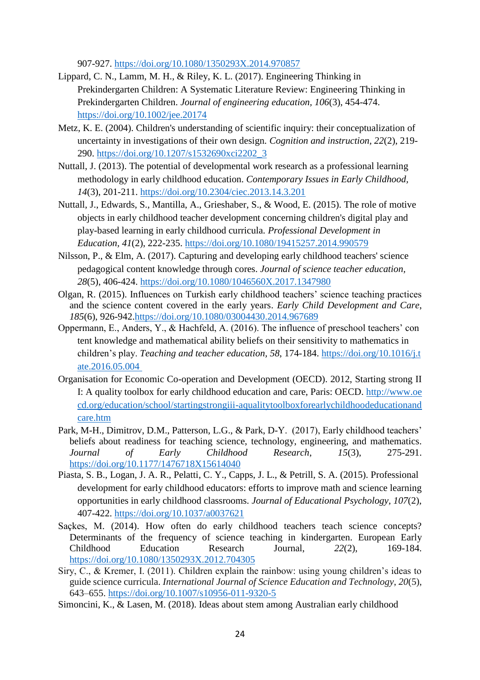907-927.<https://doi.org/10.1080/1350293X.2014.970857>

- Lippard, C. N., Lamm, M. H., & Riley, K. L. (2017). Engineering Thinking in Prekindergarten Children: A Systematic Literature Review: Engineering Thinking in Prekindergarten Children. *Journal of engineering education, 106*(3), 454-474. <https://doi.org/10.1002/jee.20174>
- Metz, K. E. (2004). Children's understanding of scientific inquiry: their conceptualization of uncertainty in investigations of their own design. *Cognition and instruction, 22*(2), 219- 290. [https://doi.org/10.1207/s1532690xci2202\\_3](https://doi.org/10.1207/s1532690xci2202_3)
- Nuttall, J. (2013). The potential of developmental work research as a professional learning methodology in early childhood education. *Contemporary Issues in Early Childhood, 14*(3), 201-211.<https://doi.org/10.2304/ciec.2013.14.3.201>
- Nuttall, J., Edwards, S., Mantilla, A., Grieshaber, S., & Wood, E. (2015). The role of motive objects in early childhood teacher development concerning children's digital play and play-based learning in early childhood curricula. *Professional Development in Education, 41*(2), 222-235.<https://doi.org/10.1080/19415257.2014.990579>
- Nilsson, P., & Elm, A. (2017). Capturing and developing early childhood teachers' science pedagogical content knowledge through cores. *Journal of science teacher education, 28*(5), 406-424.<https://doi.org/10.1080/1046560X.2017.1347980>
- Olgan, R. (2015). Influences on Turkish early childhood teachers' science teaching practices and the science content covered in the early years. *Early Child Development and Care*, *185*(6), 926-942[.https://doi.org/10.1080/03004430.2014.967689](https://doi.org/10.1080/03004430.2014.967689)
- Oppermann, E., Anders, Y., & Hachfeld, A. (2016). The influence of preschool teachers' con tent knowledge and mathematical ability beliefs on their sensitivity to mathematics in children's play. *Teaching and teacher education, 58*, 174-184. [https://doi.org/10.1016/j.t](https://doi.org/10.1016/j.tate.2016.05.004) [ate.2016.05.004](https://doi.org/10.1016/j.tate.2016.05.004)
- Organisation for Economic Co-operation and Development (OECD). 2012, Starting strong II I: A quality toolbox for early childhood education and care, Paris: OECD. http://www.oe cd.org/education/school/startingstrongiii-aqualitytoolboxforearlychildhoodeducationand care.htm
- Park, M-H., Dimitrov, D.M., Patterson, L.G., & Park, D-Y. (2017), Early childhood teachers' beliefs about readiness for teaching science, technology, engineering, and mathematics. *Journal of Early Childhood Research*, *15*(3), 275-291. <https://doi.org/10.1177/1476718X15614040>
- Piasta, S. B., Logan, J. A. R., Pelatti, C. Y., Capps, J. L., & Petrill, S. A. (2015). Professional development for early childhood educators: efforts to improve math and science learning opportunities in early childhood classrooms. *Journal of Educational Psychology, 107*(2), 407-422.<https://doi.org/10.1037/a0037621>
- Saçkes, M. (2014). How often do early childhood teachers teach science concepts? Determinants of the frequency of science teaching in kindergarten. European Early Childhood Education Research Journal, *22*(2), 169-184. <https://doi.org/10.1080/1350293X.2012.704305>
- Siry, C., & Kremer, I. (2011). Children explain the rainbow: using young children's ideas to guide science curricula. *International Journal of Science Education and Technology*, *20*(5), 643–655.<https://doi.org/10.1007/s10956-011-9320-5>
- Simoncini, K., & Lasen, M. (2018). Ideas about stem among Australian early childhood